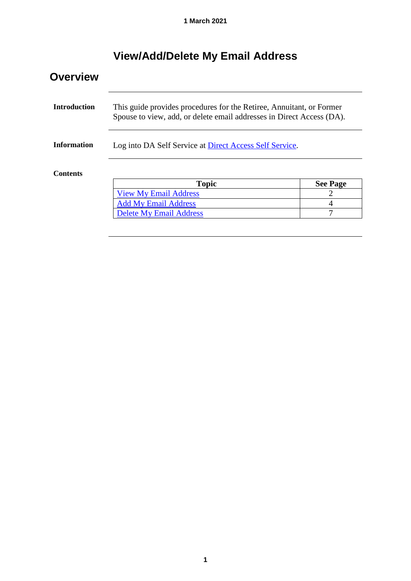# **View/Add/Delete My Email Address**

| <b>Overview</b>     |                                                                                                                                               |                 |  |  |
|---------------------|-----------------------------------------------------------------------------------------------------------------------------------------------|-----------------|--|--|
| <b>Introduction</b> | This guide provides procedures for the Retiree, Annuitant, or Former<br>Spouse to view, add, or delete email addresses in Direct Access (DA). |                 |  |  |
| <b>Information</b>  | Log into DA Self Service at Direct Access Self Service.                                                                                       |                 |  |  |
| <b>Contents</b>     |                                                                                                                                               |                 |  |  |
|                     | <b>Topic</b>                                                                                                                                  | <b>See Page</b> |  |  |
|                     | <b>View My Email Address</b>                                                                                                                  | 2               |  |  |
|                     | <b>Add My Email Address</b>                                                                                                                   | 4               |  |  |
|                     |                                                                                                                                               |                 |  |  |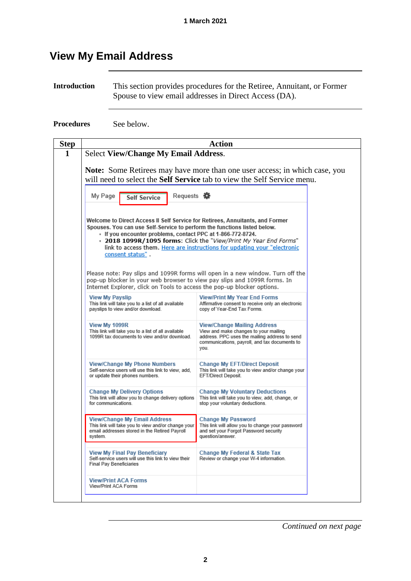### <span id="page-1-0"></span>**View My Email Address**

**Introduction** This section provides procedures for the Retiree, Annuitant, or Former Spouse to view email addresses in Direct Access (DA).

**Procedures** See below.

| <b>Step</b>  |                                                                                                                                                                                                                                                                                                                   | Action                                                                                                                                                                                |  |
|--------------|-------------------------------------------------------------------------------------------------------------------------------------------------------------------------------------------------------------------------------------------------------------------------------------------------------------------|---------------------------------------------------------------------------------------------------------------------------------------------------------------------------------------|--|
| $\mathbf{1}$ | <b>Select View/Change My Email Address.</b>                                                                                                                                                                                                                                                                       |                                                                                                                                                                                       |  |
|              | <b>Note:</b> Some Retirees may have more than one user access; in which case, you                                                                                                                                                                                                                                 |                                                                                                                                                                                       |  |
|              | will need to select the Self Service tab to view the Self Service menu.                                                                                                                                                                                                                                           |                                                                                                                                                                                       |  |
|              |                                                                                                                                                                                                                                                                                                                   |                                                                                                                                                                                       |  |
|              | Requests «<br>My Page<br><b>Self Service</b>                                                                                                                                                                                                                                                                      |                                                                                                                                                                                       |  |
|              |                                                                                                                                                                                                                                                                                                                   |                                                                                                                                                                                       |  |
|              | Welcome to Direct Access II Self Service for Retirees, Annuitants, and Former<br>Spouses. You can use Self-Service to perform the functions listed below.<br>- If you encounter problems, contact PPC at 1-866-772-8724.<br>• 2018 1099R/1095 forms: Click the "View/Print My Year End Forms"<br>consent status". | link to access them. Here are instructions for updating your "electronic                                                                                                              |  |
|              | Please note: Pay slips and 1099R forms will open in a new window. Turn off the<br>pop-up blocker in your web browser to view pay slips and 1099R forms. In<br>Internet Explorer, click on Tools to access the pop-up blocker options.                                                                             |                                                                                                                                                                                       |  |
|              | <b>View My Payslip</b><br>This link will take you to a list of all available<br>payslips to view and/or download.                                                                                                                                                                                                 | <b>View/Print My Year End Forms</b><br>Affirmative consent to receive only an electronic<br>copy of Year-End Tax Forms.                                                               |  |
|              | View My 1099R<br>This link will take you to a list of all available<br>1099R tax documents to view and/or download.                                                                                                                                                                                               | <b>View/Change Mailing Address</b><br>View and make changes to your mailing<br>address. PPC uses the mailing address to send<br>communications, payroll, and tax documents to<br>you. |  |
|              | <b>View/Change My Phone Numbers</b><br>Self-service users will use this link to view, add,<br>or update their phones numbers.                                                                                                                                                                                     | <b>Change My EFT/Direct Deposit</b><br>This link will take you to view and/or change your<br>EFT/Direct Deposit.                                                                      |  |
|              | <b>Change My Delivery Options</b><br>This link will allow you to change delivery options<br>for communications.                                                                                                                                                                                                   | <b>Change My Voluntary Deductions</b><br>This link will take you to view, add, change, or<br>stop your voluntary deductions.                                                          |  |
|              | <b>View/Change My Email Address</b><br>This link will take you to view and/or change your<br>email addresses stored in the Retired Pavroll<br>system.                                                                                                                                                             | <b>Change My Password</b><br>This link will allow you to change your password<br>and set your Forgot Password security<br>question/answer.                                            |  |
|              | <b>View My Final Pay Beneficiary</b><br>Self-service users will use this link to view their<br><b>Final Pay Beneficiaries</b>                                                                                                                                                                                     | <b>Change My Federal &amp; State Tax</b><br>Review or change your W-4 information.                                                                                                    |  |
|              | <b>View/Print ACA Forms</b><br>View/Print ACA Forms                                                                                                                                                                                                                                                               |                                                                                                                                                                                       |  |

*Continued on next page*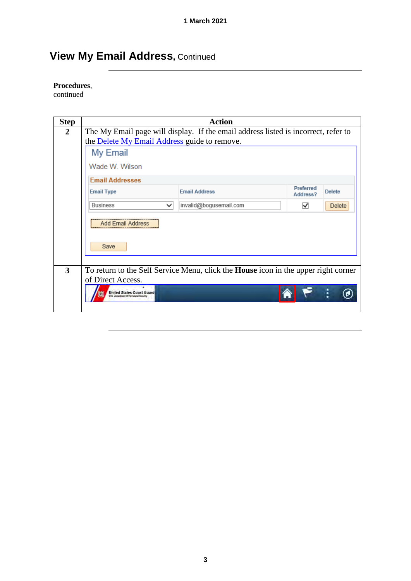# **View My Email Address, Continued**

#### **Procedures**,

continued

| <b>Step</b>    |                                                                                    | <b>Action</b>                                                                             |                              |               |
|----------------|------------------------------------------------------------------------------------|-------------------------------------------------------------------------------------------|------------------------------|---------------|
| $\overline{2}$ | The My Email page will display. If the email address listed is incorrect, refer to |                                                                                           |                              |               |
|                | the Delete My Email Address guide to remove.                                       |                                                                                           |                              |               |
|                | My Email                                                                           |                                                                                           |                              |               |
|                | Wade W. Wilson                                                                     |                                                                                           |                              |               |
|                | <b>Email Addresses</b>                                                             |                                                                                           |                              |               |
|                | <b>Email Type</b>                                                                  | <b>Email Address</b>                                                                      | <b>Preferred</b><br>Address? | <b>Delete</b> |
|                | <b>Business</b><br>◡                                                               | invalid@bogusemail.com                                                                    | ✓                            | <b>Delete</b> |
|                | Add Email Address                                                                  |                                                                                           |                              |               |
|                | Save                                                                               |                                                                                           |                              |               |
| 3              |                                                                                    | To return to the Self Service Menu, click the <b>House</b> icon in the upper right corner |                              |               |
|                | of Direct Access.                                                                  |                                                                                           |                              |               |
|                | <b>United States Coast Guard</b><br>U.S. Department of Homeland Security           |                                                                                           |                              |               |
|                |                                                                                    |                                                                                           |                              |               |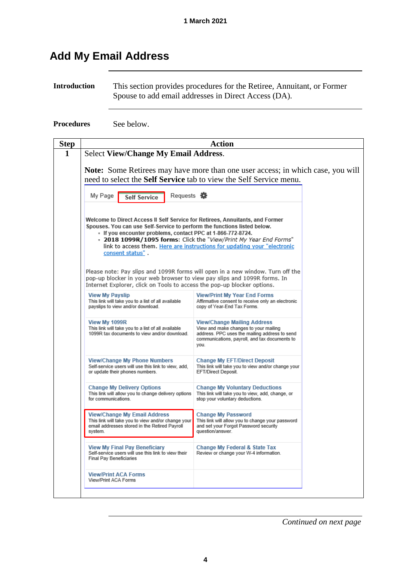### <span id="page-3-0"></span>**Add My Email Address**

#### **Introduction** This section provides procedures for the Retiree, Annuitant, or Former Spouse to add email addresses in Direct Access (DA).

**Procedures** See below.

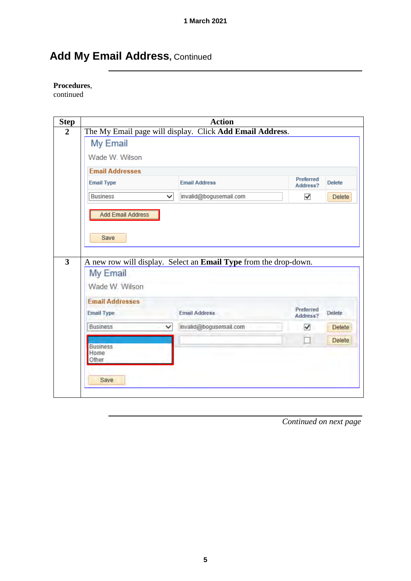# Add My Email Address, Continued

#### **Procedures**,

continued

| <b>Step</b>    | <b>Action</b>          |                                                                  |                       |               |
|----------------|------------------------|------------------------------------------------------------------|-----------------------|---------------|
| $\overline{2}$ |                        | The My Email page will display. Click Add Email Address.         |                       |               |
|                | My Email               |                                                                  |                       |               |
|                | Wade W. Wilson         |                                                                  |                       |               |
|                | <b>Email Addresses</b> |                                                                  |                       |               |
|                | <b>Email Type</b>      | <b>Email Address</b>                                             | Preferred<br>Address? | <b>Delete</b> |
|                | <b>Business</b><br>◡   | invalid@bogusemail.com                                           | $\blacktriangledown$  | <b>Delete</b> |
|                | Add Email Address      |                                                                  |                       |               |
|                | Save                   |                                                                  |                       |               |
| 3              |                        | A new row will display. Select an Email Type from the drop-down. |                       |               |
|                | My Email               |                                                                  |                       |               |
|                | Wade W. Wilson         |                                                                  |                       |               |
|                | <b>Email Addresses</b> |                                                                  |                       |               |
|                | <b>Email Type</b>      | <b>Email Address</b>                                             | Preferred<br>Address? | Delete        |
|                | <b>Business</b><br>v   | invalid@bogusemail.com                                           | $\checkmark$          | <b>Delete</b> |
|                | <b>Business</b>        |                                                                  |                       | Delete        |
|                | Home<br>Other          |                                                                  |                       |               |
|                |                        |                                                                  |                       |               |
|                | Save                   |                                                                  |                       |               |
|                |                        |                                                                  |                       |               |

*Continued on next page*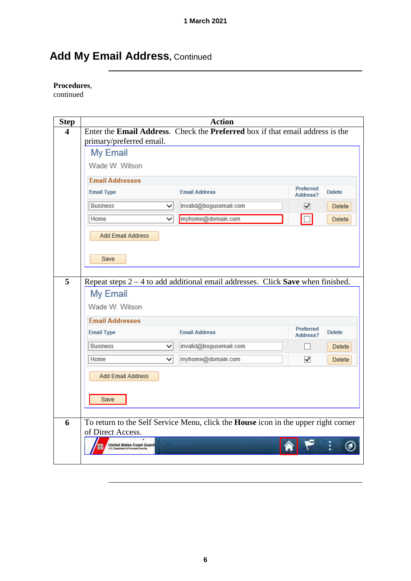# Add My Email Address, Continued

#### **Procedures**,

continued

| <b>Step</b>             |                                                                                                                          | <b>Action</b>                                                                      |                       |               |
|-------------------------|--------------------------------------------------------------------------------------------------------------------------|------------------------------------------------------------------------------------|-----------------------|---------------|
| $\overline{\mathbf{4}}$ | Enter the <b>Email Address</b> . Check the <b>Preferred</b> box if that email address is the<br>primary/preferred email. |                                                                                    |                       |               |
|                         | My Email                                                                                                                 |                                                                                    |                       |               |
|                         | Wade W. Wilson                                                                                                           |                                                                                    |                       |               |
|                         | <b>Email Addresses</b>                                                                                                   |                                                                                    |                       |               |
|                         | <b>Email Type</b>                                                                                                        | <b>Email Address</b>                                                               | Preferred<br>Address? | <b>Delete</b> |
|                         | <b>Business</b><br>◡                                                                                                     | invalid@bogusemail.com                                                             | ⊽                     | Delete        |
|                         | Home<br>◡                                                                                                                | myhome@domain.com                                                                  |                       | Delete        |
|                         | <b>Add Email Address</b>                                                                                                 |                                                                                    |                       |               |
|                         | Save                                                                                                                     |                                                                                    |                       |               |
|                         |                                                                                                                          |                                                                                    |                       |               |
| 5                       |                                                                                                                          | Repeat steps $2 - 4$ to add additional email addresses. Click Save when finished.  |                       |               |
|                         | My Email                                                                                                                 |                                                                                    |                       |               |
|                         | Wade W. Wilson                                                                                                           |                                                                                    |                       |               |
|                         | <b>Email Addresses</b>                                                                                                   |                                                                                    |                       |               |
|                         | <b>Email Type</b>                                                                                                        | <b>Email Address</b>                                                               | Preferred<br>Address? | <b>Delete</b> |
|                         | <b>Business</b><br>◡                                                                                                     | invalid@bogusemail.com                                                             | ┓                     | <b>Delete</b> |
|                         | Home<br>◡                                                                                                                | myhome@domain.com                                                                  | ✔                     | Delete        |
|                         | <b>Add Email Address</b>                                                                                                 |                                                                                    |                       |               |
|                         |                                                                                                                          |                                                                                    |                       |               |
|                         | Save                                                                                                                     |                                                                                    |                       |               |
| 6                       |                                                                                                                          | To return to the Self Service Menu, click the House icon in the upper right corner |                       |               |
|                         | of Direct Access.                                                                                                        |                                                                                    |                       |               |
|                         | <b>United States Coast Guard</b><br>US Department of Homeland Security                                                   |                                                                                    |                       |               |
|                         |                                                                                                                          |                                                                                    |                       |               |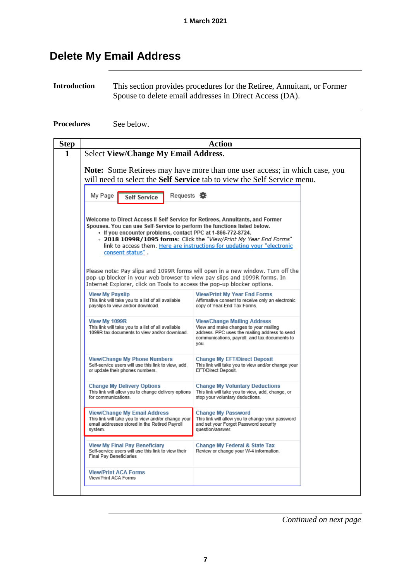### <span id="page-6-0"></span>**Delete My Email Address**

**Introduction** This section provides procedures for the Retiree, Annuitant, or Former Spouse to delete email addresses in Direct Access (DA).

**Procedures** See below.

|                                                                                                                                                                                                                                                                                                                                                                                                            | <b>Action</b>                                                                                                                                                                         |  |
|------------------------------------------------------------------------------------------------------------------------------------------------------------------------------------------------------------------------------------------------------------------------------------------------------------------------------------------------------------------------------------------------------------|---------------------------------------------------------------------------------------------------------------------------------------------------------------------------------------|--|
| <b>Select View/Change My Email Address.</b>                                                                                                                                                                                                                                                                                                                                                                |                                                                                                                                                                                       |  |
|                                                                                                                                                                                                                                                                                                                                                                                                            | <b>Note:</b> Some Retirees may have more than one user access; in which case, you<br>will need to select the Self Service tab to view the Self Service menu.                          |  |
| Requests «<br>My Page<br><b>Self Service</b>                                                                                                                                                                                                                                                                                                                                                               |                                                                                                                                                                                       |  |
| Welcome to Direct Access II Self Service for Retirees, Annuitants, and Former<br>Spouses. You can use Self-Service to perform the functions listed below.<br>- If you encounter problems, contact PPC at 1-866-772-8724.<br>consent status".<br>Please note: Pay slips and 1099R forms will open in a new window. Turn off the<br>pop-up blocker in your web browser to view pay slips and 1099R forms. In | - 2018 1099R/1095 forms: Click the "View/Print My Year End Forms"<br>link to access them. Here are instructions for updating your "electronic                                         |  |
| Internet Explorer, click on Tools to access the pop-up blocker options.<br><b>View My Payslip</b><br>This link will take you to a list of all available                                                                                                                                                                                                                                                    | <b>View/Print My Year End Forms</b><br>Affirmative consent to receive only an electronic                                                                                              |  |
| payslips to view and/or download.                                                                                                                                                                                                                                                                                                                                                                          | copy of Year-End Tax Forms.                                                                                                                                                           |  |
| View My 1099R<br>This link will take you to a list of all available<br>1099R tax documents to view and/or download.                                                                                                                                                                                                                                                                                        | <b>View/Change Mailing Address</b><br>View and make changes to your mailing<br>address. PPC uses the mailing address to send<br>communications, payroll, and tax documents to<br>you. |  |
| <b>View/Change My Phone Numbers</b><br>Self-service users will use this link to view, add,<br>or update their phones numbers.                                                                                                                                                                                                                                                                              | <b>Change My EFT/Direct Deposit</b><br>This link will take you to view and/or change your<br>EFT/Direct Deposit.                                                                      |  |
| <b>Change My Delivery Options</b><br>This link will allow you to change delivery options<br>for communications.                                                                                                                                                                                                                                                                                            | <b>Change My Voluntary Deductions</b><br>This link will take you to view, add, change, or<br>stop your voluntary deductions.                                                          |  |
| <b>View/Change My Email Address</b><br>This link will take you to view and/or change your<br>email addresses stored in the Retired Payroll<br>system.                                                                                                                                                                                                                                                      | <b>Change My Password</b><br>This link will allow you to change your password<br>and set your Forgot Password security<br>question/answer                                             |  |
| <b>View My Final Pay Beneficiary</b>                                                                                                                                                                                                                                                                                                                                                                       | <b>Change My Federal &amp; State Tax</b>                                                                                                                                              |  |
| Self-service users will use this link to view their<br><b>Final Pay Beneficiaries</b>                                                                                                                                                                                                                                                                                                                      | Review or change your W-4 information.                                                                                                                                                |  |

*Continued on next page*